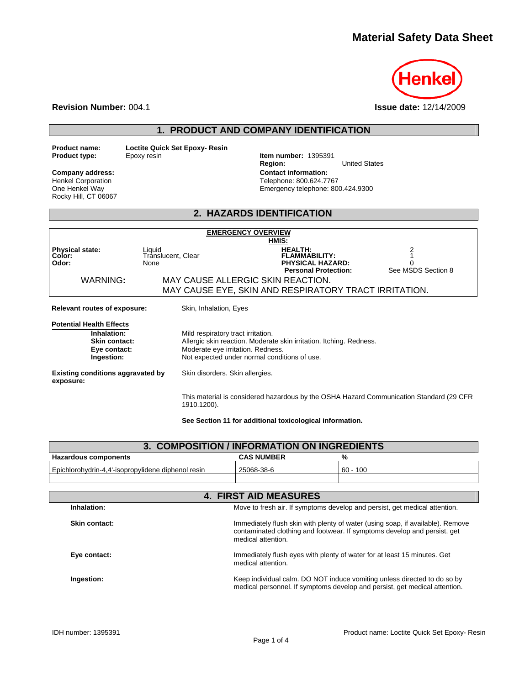# **Material Safety Data Sheet**



**Revision Number:** 004.1 **Issue date:** 12/14/2009

# **1. PRODUCT AND COMPANY IDENTIFICATION**

| <b>Product name:</b> |  |
|----------------------|--|
| <b>Product type:</b> |  |

**Loctite Quick Set Epoxy- Resin**<br>Epoxy resin

Henkel Corporation One Henkel Way Rocky Hill, CT 06067

**Item number: 1395391<br>Region: Region:** United States **Company address: Contact information:**  Telephone: 800.624.7767 Emergency telephone: 800.424.9300

### **2. HAZARDS IDENTIFICATION**

| <b>EMERGENCY OVERVIEW</b>                                                                            |                                                                         |                                                                                                                     |                                     |
|------------------------------------------------------------------------------------------------------|-------------------------------------------------------------------------|---------------------------------------------------------------------------------------------------------------------|-------------------------------------|
| <b>Physical state:</b><br>Color:<br>Odor:                                                            | Liquid<br>Translucent, Clear<br>None                                    | HMIS:<br><b>HEALTH:</b><br><b>FLAMMABILITY:</b><br><b>PHYSICAL HAZARD:</b><br><b>Personal Protection:</b>           | $\frac{2}{1}$<br>See MSDS Section 8 |
| WARNING:                                                                                             |                                                                         | MAY CAUSE ALLERGIC SKIN REACTION.<br>MAY CAUSE EYE, SKIN AND RESPIRATORY TRACT IRRITATION.                          |                                     |
|                                                                                                      |                                                                         |                                                                                                                     |                                     |
| <b>Relevant routes of exposure:</b>                                                                  | Skin, Inhalation, Eyes                                                  |                                                                                                                     |                                     |
| <b>Potential Health Effects</b><br>Inhalation:<br><b>Skin contact:</b><br>Eye contact:<br>Ingestion: | Mild respiratory tract irritation.<br>Moderate eye irritation. Redness. | Allergic skin reaction. Moderate skin irritation. Itching. Redness.<br>Not expected under normal conditions of use. |                                     |
| <b>Existing conditions aggravated by</b><br>exposure:                                                | Skin disorders. Skin allergies.                                         |                                                                                                                     |                                     |
|                                                                                                      | 1910.1200).                                                             | This material is considered hazardous by the OSHA Hazard Communication Standard (29 CFR                             |                                     |

**See Section 11 for additional toxicological information.** 

| 3. COMPOSITION / INFORMATION ON INGREDIENTS        |                              |                                                                                                                                                            |
|----------------------------------------------------|------------------------------|------------------------------------------------------------------------------------------------------------------------------------------------------------|
| Hazardous components                               | <b>CAS NUMBER</b>            | %                                                                                                                                                          |
| Epichlorohydrin-4,4'-isopropylidene diphenol resin | 25068-38-6                   | $60 - 100$                                                                                                                                                 |
|                                                    |                              |                                                                                                                                                            |
|                                                    | <b>4. FIRST AID MEASURES</b> |                                                                                                                                                            |
| Inhalation:                                        |                              | Move to fresh air. If symptoms develop and persist, get medical attention.                                                                                 |
| Skin contact:                                      | medical attention.           | Immediately flush skin with plenty of water (using soap, if available). Remove<br>contaminated clothing and footwear. If symptoms develop and persist, get |
| Eye contact:                                       | medical attention.           | Immediately flush eyes with plenty of water for at least 15 minutes. Get                                                                                   |
| Ingestion:                                         |                              | Keep individual calm. DO NOT induce vomiting unless directed to do so by<br>medical personnel. If symptoms develop and persist, get medical attention.     |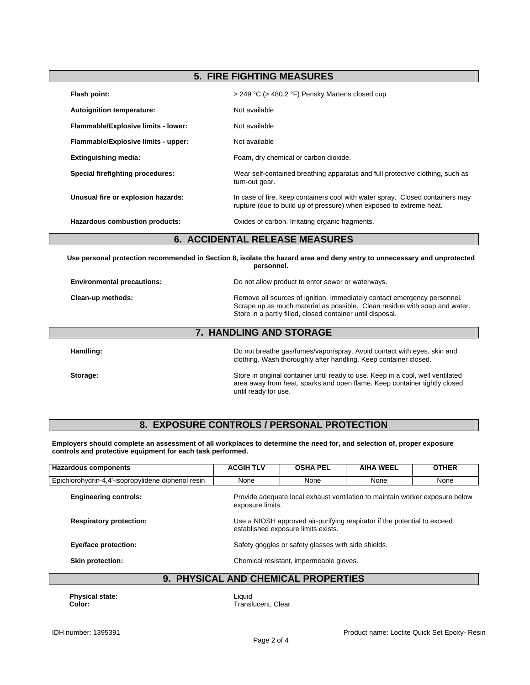## **5. FIRE FIGHTING MEASURES**

| Flash point:                          | > 249 °C (> 480.2 °F) Pensky Martens closed cup                                                                                                      |
|---------------------------------------|------------------------------------------------------------------------------------------------------------------------------------------------------|
| Autoignition temperature:             | Not available                                                                                                                                        |
| Flammable/Explosive limits - lower:   | Not available                                                                                                                                        |
| Flammable/Explosive limits - upper:   | Not available                                                                                                                                        |
| <b>Extinguishing media:</b>           | Foam, dry chemical or carbon dioxide.                                                                                                                |
| Special firefighting procedures:      | Wear self-contained breathing apparatus and full protective clothing, such as<br>turn-out gear.                                                      |
| Unusual fire or explosion hazards:    | In case of fire, keep containers cool with water spray. Closed containers may<br>rupture (due to build up of pressure) when exposed to extreme heat. |
| Hazardous combustion products:        | Oxides of carbon. Irritating organic fragments.                                                                                                      |
| <b>6. ACCIDENTAL RELEASE MEASURES</b> |                                                                                                                                                      |

**Use personal protection recommended in Section 8, isolate the hazard area and deny entry to unnecessary and unprotected personnel.** 

| <b>Environmental precautions:</b> | Do not allow product to enter sewer or waterways.                                                                                                                                                                    |
|-----------------------------------|----------------------------------------------------------------------------------------------------------------------------------------------------------------------------------------------------------------------|
| Clean-up methods:                 | Remove all sources of ignition. Immediately contact emergency personnel.<br>Scrape up as much material as possible. Clean residue with soap and water.<br>Store in a partly filled, closed container until disposal. |

#### **7. HANDLING AND STORAGE**

**Handling:** Do not breathe gas/fumes/vapor/spray. Avoid contact with eyes, skin and clothing. Wash thoroughly after handling. Keep container closed.

**Storage:** Store in original container until ready to use. Keep in a cool, well ventilated area away from heat, sparks and open flame. Keep container tightly closed until ready for use.

# **8. EXPOSURE CONTROLS / PERSONAL PROTECTION**

**Employers should complete an assessment of all workplaces to determine the need for, and selection of, proper exposure controls and protective equipment for each task performed.** 

| <b>Hazardous components</b>                        | <b>ACGIH TLV</b> | <b>OSHA PEL</b>                                     | <b>AIHA WEEL</b>                                                             | <b>OTHER</b> |
|----------------------------------------------------|------------------|-----------------------------------------------------|------------------------------------------------------------------------------|--------------|
| Epichlorohydrin-4,4'-isopropylidene diphenol resin | None             | None                                                | None                                                                         | None         |
| <b>Engineering controls:</b>                       | exposure limits. |                                                     | Provide adequate local exhaust ventilation to maintain worker exposure below |              |
| <b>Respiratory protection:</b>                     |                  | established exposure limits exists.                 | Use a NIOSH approved air-purifying respirator if the potential to exceed     |              |
| Eye/face protection:                               |                  | Safety goggles or safety glasses with side shields. |                                                                              |              |
| Skin protection:                                   |                  | Chemical resistant, impermeable gloves.             |                                                                              |              |
| <b>DUVOIO AL</b><br>$\sim$                         | AND OUTMOAL      | <b>DDADFDTIFC</b>                                   |                                                                              |              |

#### **9. PHYSICAL AND CHEMICAL PROPERTIES**

**Physical state:** Liquid

**Color:** Translucent, Clear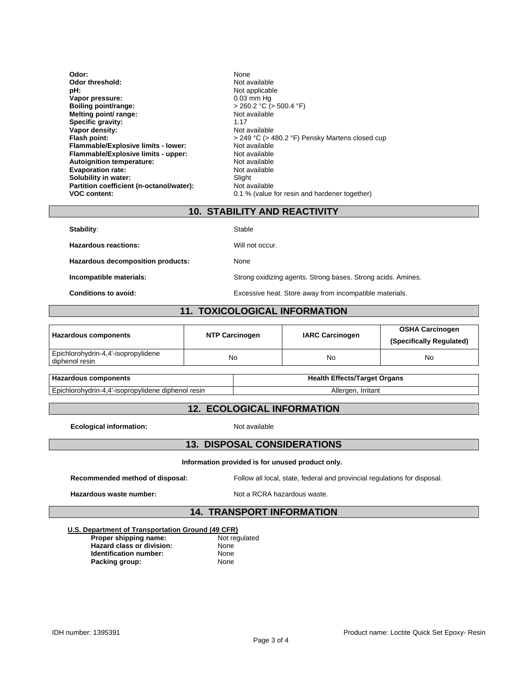| Odor:                                    | <b>None</b>                                     |
|------------------------------------------|-------------------------------------------------|
| Odor threshold:                          | Not available                                   |
| pH:                                      | Not applicable                                  |
| Vapor pressure:                          | $0.03$ mm Hq                                    |
| Boiling point/range:                     | $>$ 260.2 °C ( $>$ 500.4 °F)                    |
| Melting point/ range:                    | Not available                                   |
| Specific gravity:                        | 1.17                                            |
| Vapor density:                           | Not available                                   |
| Flash point:                             | > 249 °C (> 480.2 °F) Pensky Martens closed cup |
| Flammable/Explosive limits - lower:      | Not available                                   |
| Flammable/Explosive limits - upper:      | Not available                                   |
| Autoignition temperature:                | Not available                                   |
| <b>Evaporation rate:</b>                 | Not available                                   |
|                                          |                                                 |
| Solubility in water:                     | Slight                                          |
| Partition coefficient (n-octanol/water): | Not available                                   |
| <b>VOC content:</b>                      | 0.1 % (value for resin and hardener together)   |

#### **10. STABILITY AND REACTIVITY**

| <b>Stability:</b>                 | Stable                                                       |
|-----------------------------------|--------------------------------------------------------------|
| Hazardous reactions:              | Will not occur.                                              |
| Hazardous decomposition products: | None                                                         |
| Incompatible materials:           | Strong oxidizing agents. Strong bases. Strong acids. Amines. |
| Conditions to avoid:              | Excessive heat. Store away from incompatible materials.      |

# **11. TOXICOLOGICAL INFORMATION**

| <b>Hazardous components</b>                           | <b>NTP Carcinogen</b> | <b>IARC Carcinogen</b> | <b>OSHA Carcinogen</b><br>(Specifically Regulated) |
|-------------------------------------------------------|-----------------------|------------------------|----------------------------------------------------|
| Epichlorohydrin-4,4'-isopropylidene<br>diphenol resin | No                    | No                     | No                                                 |

| <b>: components</b>                                | Effects/Target Organs ا |
|----------------------------------------------------|-------------------------|
| <b>Hazardous</b>                                   | Health                  |
| Epichlorohydrin-4,4'-isopropylidene diphenol resin | Irritant<br>Alleraer    |

#### **12. ECOLOGICAL INFORMATION**

**Ecological information:** Not available

#### **13. DISPOSAL CONSIDERATIONS**

#### **Information provided is for unused product only.**

**Recommended method of disposal:** Follow all local, state, federal and provincial regulations for disposal.

Hazardous waste number: Not a RCRA hazardous waste.

## **14. TRANSPORT INFORMATION**

#### **U.S. Department of Transportation Ground (49 CFR) Not regulated**

| Proper shipping name:            | Not re |
|----------------------------------|--------|
| <b>Hazard class or division:</b> | None   |
| <b>Identification number:</b>    | None   |
| Packing group:                   | None   |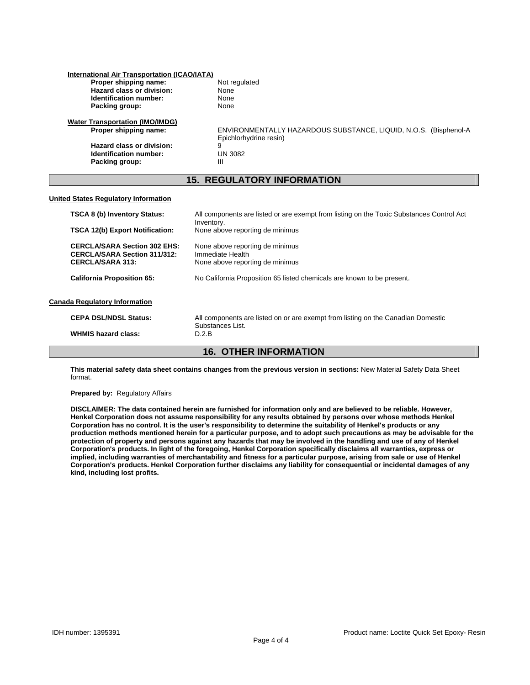| <b>International Air Transportation (ICAO/IATA)</b>                        |                                                                                                        |
|----------------------------------------------------------------------------|--------------------------------------------------------------------------------------------------------|
| Proper shipping name:                                                      | Not regulated                                                                                          |
| Hazard class or division:                                                  | None                                                                                                   |
| <b>Identification number:</b>                                              | None                                                                                                   |
| Packing group:                                                             | None                                                                                                   |
| <b>Water Transportation (IMO/IMDG)</b>                                     |                                                                                                        |
| Proper shipping name:                                                      | ENVIRONMENTALLY HAZARDOUS SUBSTANCE, LIQUID, N.O.S. (Bisphenol-A<br>Epichlorhydrine resin)             |
| Hazard class or division:                                                  | 9                                                                                                      |
| Identification number:                                                     | <b>UN 3082</b>                                                                                         |
| Packing group:                                                             | Ш                                                                                                      |
|                                                                            | <b>15. REGULATORY INFORMATION</b>                                                                      |
| <b>United States Regulatory Information</b>                                |                                                                                                        |
| <b>TSCA 8 (b) Inventory Status:</b>                                        | All components are listed or are exempt from listing on the Toxic Substances Control Act<br>Inventory. |
| <b>TSCA 12(b) Export Notification:</b>                                     | None above reporting de minimus                                                                        |
| <b>CERCLA/SARA Section 302 EHS:</b><br><b>CERCLA/SARA Section 311/312:</b> | None above reporting de minimus<br>Immediate Health                                                    |
| <b>CERCLA/SARA 313:</b>                                                    | None above reporting de minimus                                                                        |
| <b>California Proposition 65:</b>                                          | No California Proposition 65 listed chemicals are known to be present.                                 |
| <b>Canada Regulatory Information</b>                                       |                                                                                                        |

**WHMIS hazard class:** 

**CEPA DSL/NDSL Status:** All components are listed on or are exempt from listing on the Canadian Domestic Substances List.<br>D.2.B

#### **16. OTHER INFORMATION**

**This material safety data sheet contains changes from the previous version in sections:** New Material Safety Data Sheet format.

#### **Prepared by:** Regulatory Affairs

**DISCLAIMER: The data contained herein are furnished for information only and are believed to be reliable. However, Henkel Corporation does not assume responsibility for any results obtained by persons over whose methods Henkel Corporation has no control. It is the user's responsibility to determine the suitability of Henkel's products or any production methods mentioned herein for a particular purpose, and to adopt such precautions as may be advisable for the protection of property and persons against any hazards that may be involved in the handling and use of any of Henkel Corporation's products. In light of the foregoing, Henkel Corporation specifically disclaims all warranties, express or implied, including warranties of merchantability and fitness for a particular purpose, arising from sale or use of Henkel Corporation's products. Henkel Corporation further disclaims any liability for consequential or incidental damages of any kind, including lost profits.**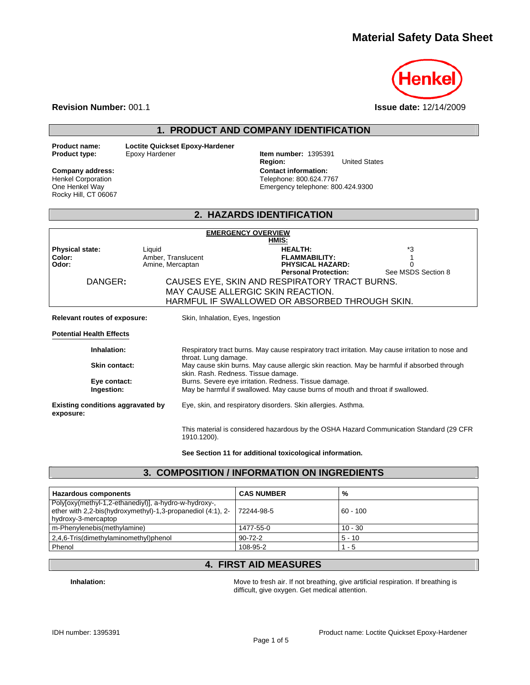# **Material Safety Data Sheet**



**Revision Number:** 001.1 **Issue date:** 12/14/2009

#### **1. PRODUCT AND COMPANY IDENTIFICATION**

**Product name: Loctite Quickset Epoxy-Hardener**

#### Henkel Corporation One Henkel Way Rocky Hill, CT 06067

**Item number: 1395391<br>Region: Region:** United States **Company address: Contact information:**  Telephone: 800.624.7767 Emergency telephone: 800.424.9300

## **2. HAZARDS IDENTIFICATION**

|                                                       |                                                  | <b>EMERGENCY OVERVIEW</b><br>HMIS:                                                                                                                                                                                                       |                          |
|-------------------------------------------------------|--------------------------------------------------|------------------------------------------------------------------------------------------------------------------------------------------------------------------------------------------------------------------------------------------|--------------------------|
| <b>Physical state:</b><br>Color:<br>Odor:<br>DANGER:  | Liquid<br>Amber, Translucent<br>Amine, Mercaptan | <b>HEALTH:</b><br><b>FLAMMABILITY:</b><br><b>PHYSICAL HAZARD:</b><br><b>Personal Protection:</b><br>CAUSES EYE, SKIN AND RESPIRATORY TRACT BURNS.<br>MAY CAUSE ALLERGIC SKIN REACTION.<br>HARMFUL IF SWALLOWED OR ABSORBED THROUGH SKIN. | *3<br>See MSDS Section 8 |
| <b>Relevant routes of exposure:</b>                   |                                                  | Skin, Inhalation, Eyes, Ingestion                                                                                                                                                                                                        |                          |
| <b>Potential Health Effects</b>                       |                                                  |                                                                                                                                                                                                                                          |                          |
| Inhalation:                                           |                                                  | Respiratory tract burns. May cause respiratory tract irritation. May cause irritation to nose and<br>throat. Lung damage.                                                                                                                |                          |
| Skin contact:                                         |                                                  | May cause skin burns. May cause allergic skin reaction. May be harmful if absorbed through<br>skin. Rash. Redness. Tissue damage.                                                                                                        |                          |
| Eye contact:<br>Ingestion:                            |                                                  | Burns. Severe eye irritation. Redness. Tissue damage.<br>May be harmful if swallowed. May cause burns of mouth and throat if swallowed.                                                                                                  |                          |
| <b>Existing conditions aggravated by</b><br>exposure: |                                                  | Eye, skin, and respiratory disorders. Skin allergies. Asthma.                                                                                                                                                                            |                          |
|                                                       | 1910.1200).                                      | This material is considered hazardous by the OSHA Hazard Communication Standard (29 CFR                                                                                                                                                  |                          |

**See Section 11 for additional toxicological information.** 

#### **3. COMPOSITION / INFORMATION ON INGREDIENTS**

| Hazardous components                                                                                                                        | <b>CAS NUMBER</b> | %          |
|---------------------------------------------------------------------------------------------------------------------------------------------|-------------------|------------|
| Poly[oxy(methyl-1,2-ethanediyl)], a-hydro-w-hydroxy-,<br>ether with 2,2-bis(hydroxymethyl)-1,3-propanediol (4:1), 2-<br>hydroxy-3-mercaptop | 72244-98-5        | $60 - 100$ |
| m-Phenylenebis(methylamine)                                                                                                                 | 1477-55-0         | $10 - 30$  |
| 2,4,6-Tris(dimethylaminomethyl)phenol                                                                                                       | $90 - 72 - 2$     | $5 - 10$   |
| Phenol                                                                                                                                      | 108-95-2          | 1 - 5      |

#### **4. FIRST AID MEASURES**

**Inhalation: Inhalation: Move to fresh air. If not breathing, give artificial respiration. If breathing is** difficult, give oxygen. Get medical attention.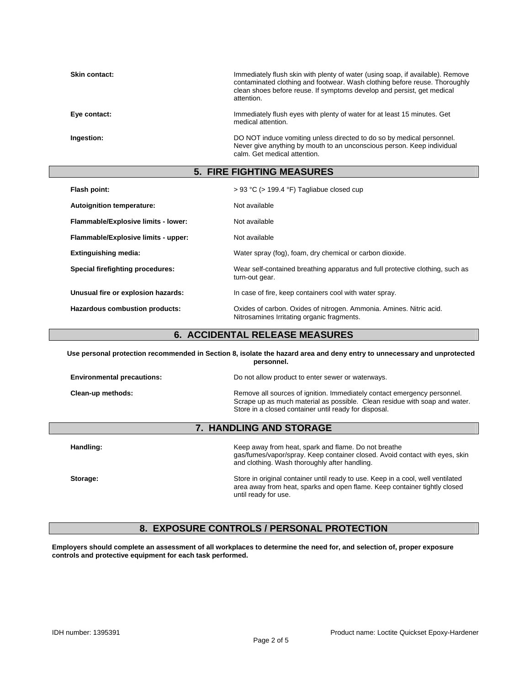| <b>Skin contact:</b> | Immediately flush skin with plenty of water (using soap, if available). Remove<br>contaminated clothing and footwear. Wash clothing before reuse. Thoroughly<br>clean shoes before reuse. If symptoms develop and persist, get medical<br>attention. |
|----------------------|------------------------------------------------------------------------------------------------------------------------------------------------------------------------------------------------------------------------------------------------------|
| Eye contact:         | Immediately flush eyes with plenty of water for at least 15 minutes. Get<br>medical attention.                                                                                                                                                       |
| Ingestion:           | DO NOT induce vomiting unless directed to do so by medical personnel.<br>Never give anything by mouth to an unconscious person. Keep individual<br>calm. Get medical attention.                                                                      |
|                      | <b>5. FIRE FIGHTING MEASURES</b>                                                                                                                                                                                                                     |

| Flash point:                        | $> 93$ °C ( $> 199.4$ °F) Tagliabue closed cup                                                                    |
|-------------------------------------|-------------------------------------------------------------------------------------------------------------------|
| <b>Autoignition temperature:</b>    | Not available                                                                                                     |
| Flammable/Explosive limits - lower: | Not available                                                                                                     |
| Flammable/Explosive limits - upper: | Not available                                                                                                     |
| <b>Extinguishing media:</b>         | Water spray (fog), foam, dry chemical or carbon dioxide.                                                          |
| Special firefighting procedures:    | Wear self-contained breathing apparatus and full protective clothing, such as<br>turn-out gear.                   |
| Unusual fire or explosion hazards:  | In case of fire, keep containers cool with water spray.                                                           |
| Hazardous combustion products:      | Oxides of carbon. Oxides of nitrogen. Ammonia. Amines. Nitric acid.<br>Nitrosamines Irritating organic fragments. |

## **6. ACCIDENTAL RELEASE MEASURES**

| Use personal protection recommended in Section 8, isolate the hazard area and deny entry to unnecessary and unprotected<br>personnel. |                                                                                                                                                                                                                 |
|---------------------------------------------------------------------------------------------------------------------------------------|-----------------------------------------------------------------------------------------------------------------------------------------------------------------------------------------------------------------|
| <b>Environmental precautions:</b>                                                                                                     | Do not allow product to enter sewer or waterways.                                                                                                                                                               |
| Clean-up methods:                                                                                                                     | Remove all sources of ignition. Immediately contact emergency personnel.<br>Scrape up as much material as possible. Clean residue with soap and water.<br>Store in a closed container until ready for disposal. |
|                                                                                                                                       | <b>7. HANDLING AND STORAGE</b>                                                                                                                                                                                  |
| Handling:                                                                                                                             | Keep away from heat, spark and flame. Do not breathe                                                                                                                                                            |

| Handling: | Keep away from heat, spark and flame. Do not breathe<br>gas/fumes/vapor/spray. Keep container closed. Avoid contact with eyes, skin<br>and clothing. Wash thoroughly after handling. |
|-----------|--------------------------------------------------------------------------------------------------------------------------------------------------------------------------------------|
| Storage:  | Store in original container until ready to use. Keep in a cool, well ventilated<br>area away from heat, sparks and open flame. Keep container tightly closed<br>until ready for use. |

## **8. EXPOSURE CONTROLS / PERSONAL PROTECTION**

**Employers should complete an assessment of all workplaces to determine the need for, and selection of, proper exposure controls and protective equipment for each task performed.**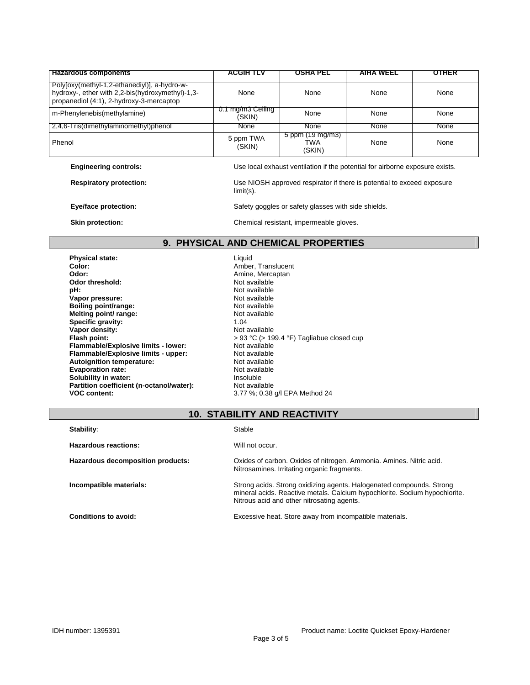| <b>Hazardous components</b>                                                                                                                 | ACGIH TLV                   | OSHA PEL                                    | AIHA WEEL   | OTHER |
|---------------------------------------------------------------------------------------------------------------------------------------------|-----------------------------|---------------------------------------------|-------------|-------|
| Polyloxy(methyl-1,2-ethanediyl), a-hydro-w-<br>hydroxy-, ether with 2,2-bis(hydroxymethyl)-1,3-<br>propanediol (4:1), 2-hydroxy-3-mercaptop | None                        | None                                        | None        | None  |
| m-Phenylenebis(methylamine)                                                                                                                 | 0.1 mg/m3 Ceiling<br>(SKIN) | None                                        | None        | None  |
| 2,4,6-Tris(dimethylaminomethyl)phenol                                                                                                       | None                        | <b>None</b>                                 | <b>None</b> | None  |
| Phenol                                                                                                                                      | 5 ppm TWA<br>(SKIN)         | 5 ppm $(19 \text{ mg/m3})$<br>TWA<br>(SKIN) | None        | None  |
| .                                                                                                                                           |                             |                                             |             |       |

**Respiratory protection:** Use NIOSH approved respirator if there is potential to exceed exposure

**Engineering controls: Listing 2008** Use local exhaust ventilation if the potential for airborne exposure exists.

limit(s).

**Eye/face protection: Safety goggles or safety glasses with side shields. Example 3** 

**Skin protection: Chemical resistant, impermeable gloves.** 

#### **9. PHYSICAL AND CHEMICAL PROPERTIES**

**Physical state: Liquid Color: Liquid Color: Ambel Color: Amber, Translucent Color: Amber, Translucent Odor: Amine, Mercaptan Odor threshold:** Not available **Vapor pressure:** <br> **Not available**<br> **Boiling point/range:** <br> **Not available Boiling point/range:** <br> **Melting point/ range:** <br> **Melting point/ range:** <br> **Melting point/ range:** <br> **Melting point/ range:** <br> **Melting point/ range:** <br> **Melting point/ range:** <br> **Melting point/ range:** <br> **Melting point/ Melting point/ range: Specific gravity:**  $\begin{array}{ccc} \bullet & \bullet & \bullet & \bullet \\ \textbf{Vapor density:} & \bullet & \bullet & \bullet \end{array}$  Not available Vapor density:<br>Flash point: **Flammable/Explosive limits - lower: Flammable/Explosive limits - upper:** Not available<br> **Autoignition temperature:** Not available **Autoignition temperature:** Not available<br> **Evaporation rate:** Not available **Evaporation rate: Not available 11 Not available**<br> **Solubility in water: Not available** the lnsoluble **Solubility in water: Partition coefficient (n-octanol/water):** Not available<br>VOC content: 3.77 %: 0.38

Not available<br>Not available > 93 °C (> 199.4 °F) Tagliabue closed cup<br>Not available **VOC content:** 3.77 %; 0.38 g/l EPA Method 24

## **10. STABILITY AND REACTIVITY**

| Stability:                        | Stable                                                                                                                                                                                           |
|-----------------------------------|--------------------------------------------------------------------------------------------------------------------------------------------------------------------------------------------------|
| Hazardous reactions:              | Will not occur.                                                                                                                                                                                  |
| Hazardous decomposition products: | Oxides of carbon. Oxides of nitrogen. Ammonia. Amines. Nitric acid.<br>Nitrosamines. Irritating organic fragments.                                                                               |
| Incompatible materials:           | Strong acids. Strong oxidizing agents. Halogenated compounds. Strong<br>mineral acids. Reactive metals. Calcium hypochlorite. Sodium hypochlorite.<br>Nitrous acid and other nitrosating agents. |
| <b>Conditions to avoid:</b>       | Excessive heat. Store away from incompatible materials.                                                                                                                                          |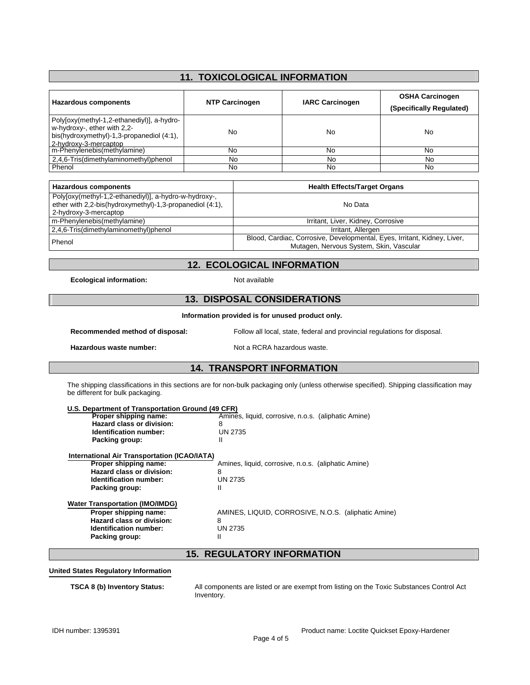## **11. TOXICOLOGICAL INFORMATION**

| <b>Hazardous components</b>                                                                                                                     | <b>NTP Carcinogen</b> | <b>IARC Carcinogen</b> | <b>OSHA Carcinogen</b><br>(Specifically Regulated) |
|-------------------------------------------------------------------------------------------------------------------------------------------------|-----------------------|------------------------|----------------------------------------------------|
| Poly[oxy(methyl-1,2-ethanediyl)], a-hydro-<br>w-hydroxy-, ether with 2,2-<br>bis(hydroxymethyl)-1,3-propanediol (4:1),<br>2-hydroxy-3-mercaptop | No                    | No                     | No                                                 |
| m-Phenylenebis(methylamine)                                                                                                                     | No                    | No                     | No                                                 |
| 2.4.6-Tris(dimethylaminomethyl)phenol                                                                                                           | No                    | No                     | No                                                 |
| Phenol                                                                                                                                          | No                    | Nο                     | No                                                 |

| Hazardous components                                                                                                                       | <b>Health Effects/Target Organs</b>                                                                                 |
|--------------------------------------------------------------------------------------------------------------------------------------------|---------------------------------------------------------------------------------------------------------------------|
| Polyloxy(methyl-1,2-ethanediyl)], a-hydro-w-hydroxy-,<br>ether with 2,2-bis(hydroxymethyl)-1,3-propanediol (4:1),<br>2-hydroxy-3-mercaptop | No Data                                                                                                             |
| m-Phenylenebis(methylamine)                                                                                                                | Irritant, Liver, Kidney, Corrosive                                                                                  |
| 2.4.6-Tris(dimethylaminomethyl)phenol                                                                                                      | Irritant, Allergen                                                                                                  |
| Phenol                                                                                                                                     | Blood, Cardiac, Corrosive, Developmental, Eyes, Irritant, Kidney, Liver,<br>Mutagen, Nervous System, Skin, Vascular |

#### **12. ECOLOGICAL INFORMATION**

**Ecological information:** Not available

#### **13. DISPOSAL CONSIDERATIONS**

#### **Information provided is for unused product only.**

**Hazardous waste number:** Not a RCRA hazardous waste.

**Recommended method of disposal:** Follow all local, state, federal and provincial regulations for disposal.

# **14. TRANSPORT INFORMATION**

The shipping classifications in this sections are for non-bulk packaging only (unless otherwise specified). Shipping classification may be different for bulk packaging.

| U.S. Department of Transportation Ground (49 CFR)   |                                                     |
|-----------------------------------------------------|-----------------------------------------------------|
| Proper shipping name:                               | Amines, liquid, corrosive, n.o.s. (aliphatic Amine) |
| Hazard class or division:                           | 8                                                   |
| <b>Identification number:</b>                       | UN 2735                                             |
| Packing group:                                      | Ш                                                   |
| <b>International Air Transportation (ICAO/IATA)</b> |                                                     |
| Proper shipping name:                               | Amines, liquid, corrosive, n.o.s. (aliphatic Amine) |
| Hazard class or division:                           | 8                                                   |
| <b>Identification number:</b>                       | UN 2735                                             |
| Packing group:                                      | Ш                                                   |
| <b>Water Transportation (IMO/IMDG)</b>              |                                                     |
| Proper shipping name:                               | AMINES, LIQUID, CORROSIVE, N.O.S. (aliphatic Amine) |
| Hazard class or division:                           | 8                                                   |
| <b>Identification number:</b>                       | UN 2735                                             |
| Packing group:                                      | Ш                                                   |
|                                                     | <b>15. REGULATORY INFORMATION</b>                   |

#### **United States Regulatory Information**

**TSCA 8 (b) Inventory Status:** All components are listed or are exempt from listing on the Toxic Substances Control Act Inventory.